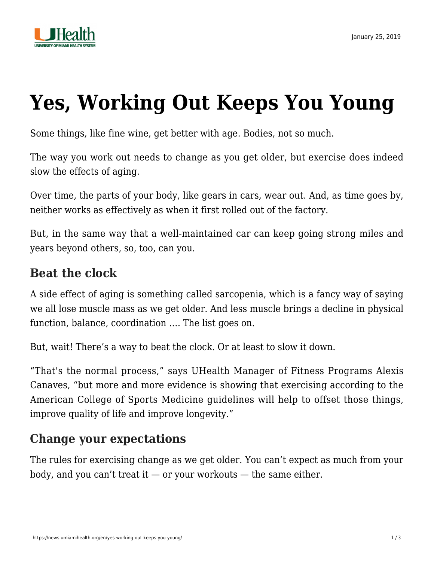

# **[Yes, Working Out Keeps You Young](https://news.umiamihealth.org/en/yes-working-out-keeps-you-young/)**

Some things, like fine wine, get better with age. Bodies, not so much.

The way you work out needs to change as you get older, but exercise does indeed slow the effects of aging.

Over time, the parts of your body, like gears in cars, wear out. And, as time goes by, neither works as effectively as when it first rolled out of the factory.

But, in the same way that a well-maintained car can keep going strong miles and years beyond others, so, too, can you.

### **Beat the clock**

A side effect of aging is something called sarcopenia, which is a fancy way of saying we all lose muscle mass as we get older. And less muscle brings a decline in physical function, balance, coordination …. The list goes on.

But, wait! There's a way to beat the clock. Or at least to slow it down.

"That's the normal process," says UHealth Manager of Fitness Programs Alexis Canaves, "but more and more evidence is showing that exercising according to the American College of Sports Medicine guidelines will help to offset those things, improve quality of life and improve longevity."

# **Change your expectations**

The rules for exercising change as we get older. You can't expect as much from your body, and you can't treat it  $-$  or your workouts  $-$  the same either.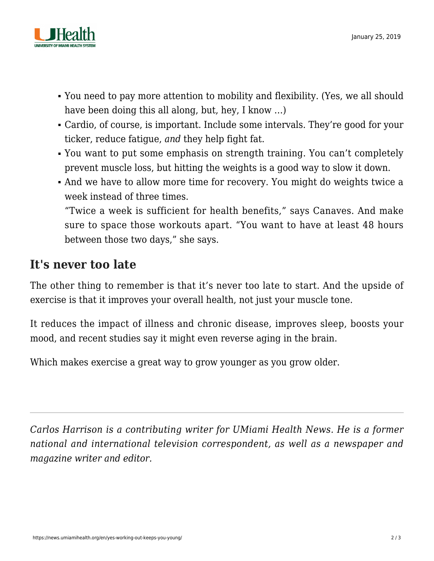

- You need to pay more attention to mobility and flexibility. (Yes, we all should have been doing this all along, but, hey, I know …)
- Cardio, of course, is important. Include some intervals. They're good for your ticker, reduce fatigue, *and* they help fight fat.
- You want to put some emphasis on strength training. You can't completely prevent muscle loss, but hitting the weights is a good way to slow it down.
- And we have to allow more time for recovery. You might do weights twice a week instead of three times. "Twice a week is sufficient for health benefits," says Canaves. And make sure to space those workouts apart. "You want to have at least 48 hours
	- between those two days," she says.

# **It's never too late**

The other thing to remember is that it's never too late to start. And the upside of exercise is that it improves your overall health, not just your muscle tone.

It reduces the impact of illness and [chronic disease](https://news.umiamihealth.org/en/dont-let-chronic-illness-get-the-better-of-you/), improves sleep, boosts your mood, and recent studies say it might even reverse aging in the brain.

Which makes exercise a great way to grow younger as you grow older.

*Carlos Harrison is a contributing writer for UMiami Health News. He is a former national and international television correspondent, as well as a newspaper and magazine writer and editor.*